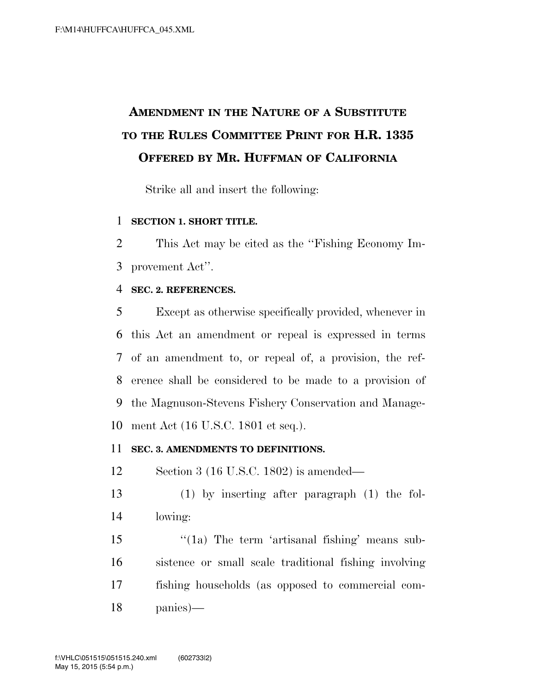## **AMENDMENT IN THE NATURE OF A SUBSTITUTE TO THE RULES COMMITTEE PRINT FOR H.R. 1335 OFFERED BY MR. HUFFMAN OF CALIFORNIA**

Strike all and insert the following:

## **SECTION 1. SHORT TITLE.**

 This Act may be cited as the ''Fishing Economy Im-provement Act''.

## **SEC. 2. REFERENCES.**

 Except as otherwise specifically provided, whenever in this Act an amendment or repeal is expressed in terms of an amendment to, or repeal of, a provision, the ref- erence shall be considered to be made to a provision of the Magnuson-Stevens Fishery Conservation and Manage-ment Act (16 U.S.C. 1801 et seq.).

## **SEC. 3. AMENDMENTS TO DEFINITIONS.**

Section 3 (16 U.S.C. 1802) is amended—

 (1) by inserting after paragraph (1) the fol-lowing:

15 "(1a) The term 'artisanal fishing' means sub- sistence or small scale traditional fishing involving fishing households (as opposed to commercial com-panies)—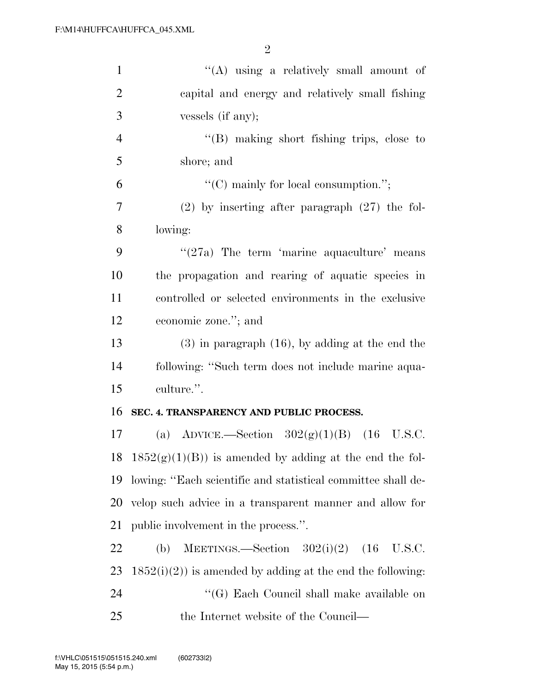| $\mathbf{1}$   | "(A) using a relatively small amount of                      |
|----------------|--------------------------------------------------------------|
| $\overline{2}$ | capital and energy and relatively small fishing              |
| 3              | vessels (if any);                                            |
| $\overline{4}$ | $\lq\lq$ (B) making short fishing trips, close to            |
| 5              | shore; and                                                   |
| 6              | "(C) mainly for local consumption.";                         |
| 7              | $(2)$ by inserting after paragraph $(27)$ the fol-           |
| 8              | lowing:                                                      |
| 9              | $\cdot$ (27a) The term 'marine aquaculture' means            |
| 10             | the propagation and rearing of aquatic species in            |
| 11             | controlled or selected environments in the exclusive         |
| 12             | economic zone."; and                                         |
| 13             | $(3)$ in paragraph $(16)$ , by adding at the end the         |
| 14             | following: "Such term does not include marine aqua-          |
| 15             | culture.".                                                   |
| 16             | SEC. 4. TRANSPARENCY AND PUBLIC PROCESS.                     |
| 17             | (a) ADVICE.—Section $302(g)(1)(B)$ (16 U.S.C.                |
|                | 18 $1852(g)(1)(B)$ is amended by adding at the end the fol-  |
| 19             | lowing: "Each scientific and statistical committee shall de- |
| 20             | velop such advice in a transparent manner and allow for      |
| 21             | public involvement in the process.".                         |
| 22             | MEETINGS.—Section $302(i)(2)$ (16<br>(b)<br>U.S.C.           |
| 23             | $1852(i)(2)$ is amended by adding at the end the following:  |
| 24             | "(G) Each Council shall make available on                    |
| 25             | the Internet website of the Council—                         |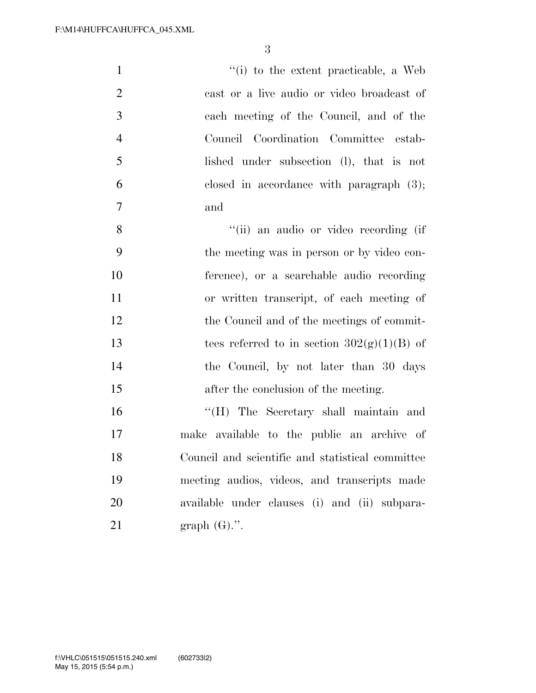| $\mathbf{1}$   | "(i) to the extent practicable, a Web            |
|----------------|--------------------------------------------------|
| $\overline{2}$ | cast or a live audio or video broadcast of       |
| $\mathfrak{Z}$ | each meeting of the Council, and of the          |
| $\overline{4}$ | Council Coordination Committee estab-            |
| 5              | lished under subsection (l), that is not         |
| 6              | closed in accordance with paragraph $(3)$ ;      |
| $\overline{7}$ | and                                              |
| 8              | "(ii) an audio or video recording (if            |
| 9              | the meeting was in person or by video con-       |
| 10             | ference), or a searchable audio recording        |
| 11             | or written transcript, of each meeting of        |
| 12             | the Council and of the meetings of commit-       |
| 13             | tees referred to in section $302(g)(1)(B)$ of    |
| 14             | the Council, by not later than 30 days           |
| 15             | after the conclusion of the meeting.             |
| 16             | "(H) The Secretary shall maintain and            |
| 17             | make available to the public an archive of       |
| 18             | Council and scientific and statistical committee |
| 19             | meeting audios, videos, and transcripts made     |
| 20             | available under clauses (i) and (ii) subpara-    |
| 21             | graph $(G)$ .".                                  |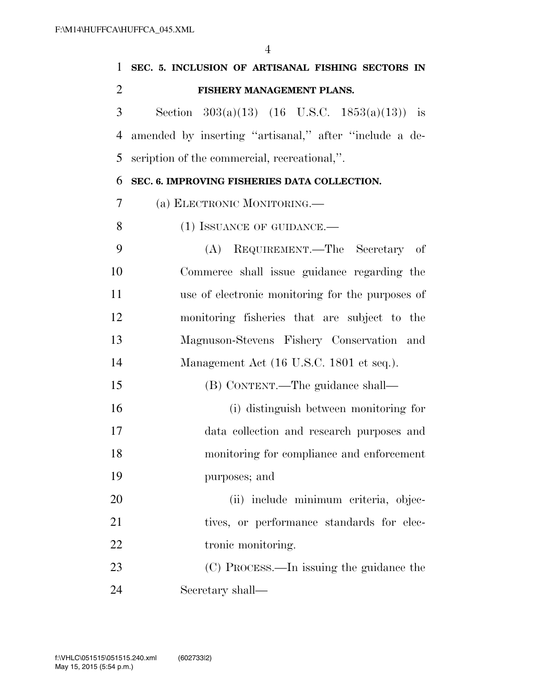| 1              | SEC. 5. INCLUSION OF ARTISANAL FISHING SECTORS IN      |
|----------------|--------------------------------------------------------|
| $\overline{2}$ | FISHERY MANAGEMENT PLANS.                              |
| 3              | Section $303(a)(13)$ (16 U.S.C. 1853(a)(13)) is        |
| 4              | amended by inserting "artisanal," after "include a de- |
| 5              | scription of the commercial, recreational,".           |
| 6              | SEC. 6. IMPROVING FISHERIES DATA COLLECTION.           |
| 7              | (a) ELECTRONIC MONITORING.—                            |
| 8              | $(1)$ ISSUANCE OF GUIDANCE.—                           |
| 9              | (A) REQUIREMENT.—The Secretary of                      |
| 10             | Commerce shall issue guidance regarding the            |
| 11             | use of electronic monitoring for the purposes of       |
| 12             | monitoring fisheries that are subject to the           |
| 13             | Magnuson-Stevens Fishery Conservation and              |
| 14             | Management Act (16 U.S.C. 1801 et seq.).               |
| 15             | (B) CONTENT.—The guidance shall—                       |
| 16             | (i) distinguish between monitoring for                 |
| 17             | data collection and research purposes and              |
| 18             | monitoring for compliance and enforcement              |
| 19             | purposes; and                                          |
| 20             | (ii) include minimum criteria, objec-                  |
| 21             | tives, or performance standards for elec-              |
| 22             | tronic monitoring.                                     |
| 23             | (C) PROCESS.—In issuing the guidance the               |
| 24             | Secretary shall—                                       |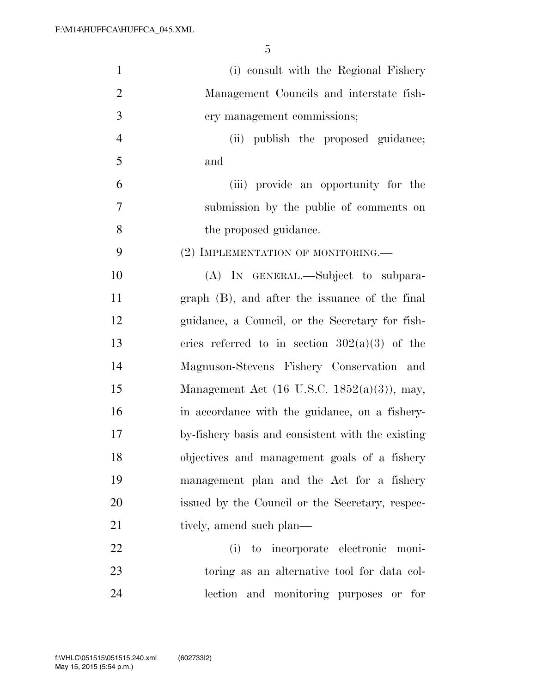| $\mathbf{1}$   | (i) consult with the Regional Fishery             |
|----------------|---------------------------------------------------|
| $\overline{2}$ | Management Councils and interstate fish-          |
| 3              | ery management commissions;                       |
| $\overline{4}$ | (ii) publish the proposed guidance;               |
| 5              | and                                               |
| 6              | (iii) provide an opportunity for the              |
| $\overline{7}$ | submission by the public of comments on           |
| 8              | the proposed guidance.                            |
| 9              | (2) IMPLEMENTATION OF MONITORING.—                |
| 10             | (A) IN GENERAL.—Subject to subpara-               |
| 11             | graph (B), and after the issuance of the final    |
| 12             | guidance, a Council, or the Secretary for fish-   |
| 13             | eries referred to in section $302(a)(3)$ of the   |
| 14             | Magnuson-Stevens Fishery Conservation and         |
| 15             | Management Act (16 U.S.C. 1852(a)(3)), may,       |
| 16             | in accordance with the guidance, on a fishery-    |
| 17             | by-fishery basis and consistent with the existing |
| 18             | objectives and management goals of a fishery      |
| 19             | management plan and the Act for a fishery         |
| 20             | issued by the Council or the Secretary, respec-   |
| 21             | tively, amend such plan—                          |
| 22             | (i) to incorporate electronic moni-               |
| 23             | toring as an alternative tool for data col-       |
| 24             | lection and monitoring purposes or for            |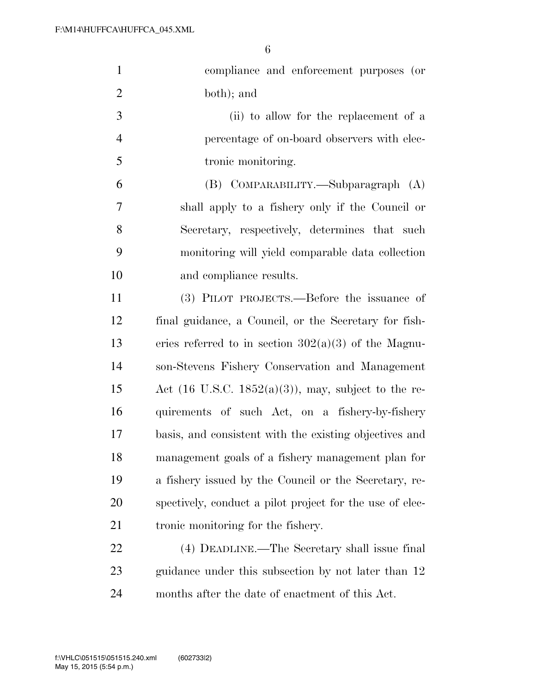| $\mathbf{1}$   | compliance and enforcement purposes (or                         |
|----------------|-----------------------------------------------------------------|
| $\mathbf{2}$   | both); and                                                      |
| 3              | (ii) to allow for the replacement of a                          |
| $\overline{4}$ | percentage of on-board observers with elec-                     |
| 5              | tronic monitoring.                                              |
| 6              | (B) COMPARABILITY.—Subparagraph (A)                             |
| $\overline{7}$ | shall apply to a fishery only if the Council or                 |
| 8              | Secretary, respectively, determines that such                   |
| 9              | monitoring will yield comparable data collection                |
| 10             | and compliance results.                                         |
| 11             | (3) PILOT PROJECTS.—Before the issuance of                      |
| 12             | final guidance, a Council, or the Secretary for fish-           |
| 13             | eries referred to in section $302(a)(3)$ of the Magnu-          |
| 14             | son-Stevens Fishery Conservation and Management                 |
| 15             | Act $(16 \text{ U.S.C. } 1852(a)(3))$ , may, subject to the re- |
| 16             | quirements of such Act, on a fishery-by-fishery                 |
| 17             | basis, and consistent with the existing objectives and          |
| 18             | management goals of a fishery management plan for               |
| 19             | a fishery issued by the Council or the Secretary, re-           |
| 20             | spectively, conduct a pilot project for the use of elec-        |
| 21             | tronic monitoring for the fishery.                              |
| 22             | (4) DEADLINE.—The Secretary shall issue final                   |
| 23             | guidance under this subsection by not later than 12             |
| 24             | months after the date of enactment of this Act.                 |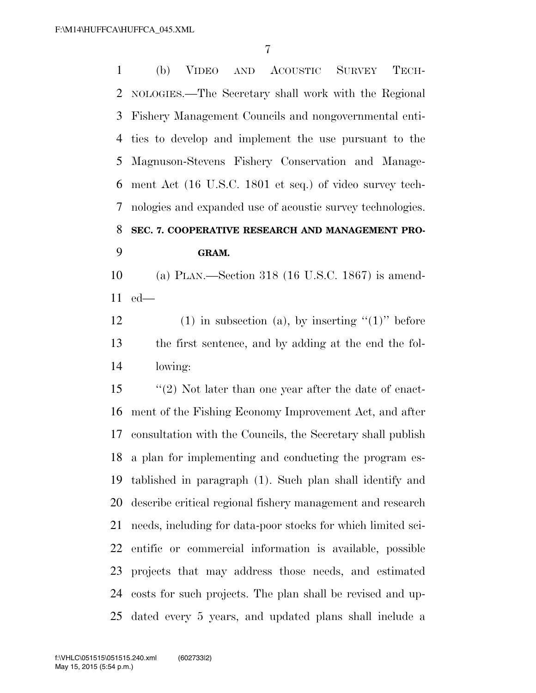(b) VIDEO AND ACOUSTIC SURVEY TECH- NOLOGIES.—The Secretary shall work with the Regional Fishery Management Councils and nongovernmental enti- ties to develop and implement the use pursuant to the Magnuson-Stevens Fishery Conservation and Manage- ment Act (16 U.S.C. 1801 et seq.) of video survey tech- nologies and expanded use of acoustic survey technologies. **SEC. 7. COOPERATIVE RESEARCH AND MANAGEMENT PRO-GRAM.** 

 (a) PLAN.—Section 318 (16 U.S.C. 1867) is amend-ed—

12 (1) in subsection (a), by inserting  $(1)$ " before the first sentence, and by adding at the end the fol-lowing:

 ''(2) Not later than one year after the date of enact- ment of the Fishing Economy Improvement Act, and after consultation with the Councils, the Secretary shall publish a plan for implementing and conducting the program es- tablished in paragraph (1). Such plan shall identify and describe critical regional fishery management and research needs, including for data-poor stocks for which limited sci- entific or commercial information is available, possible projects that may address those needs, and estimated costs for such projects. The plan shall be revised and up-dated every 5 years, and updated plans shall include a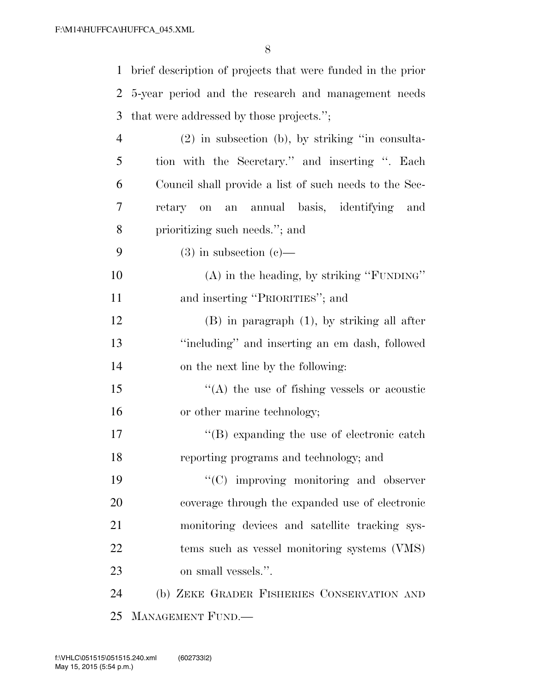brief description of projects that were funded in the prior 5-year period and the research and management needs that were addressed by those projects.''; (2) in subsection (b), by striking ''in consulta- tion with the Secretary.'' and inserting ''. Each Council shall provide a list of such needs to the Sec- retary on an annual basis, identifying and prioritizing such needs.''; and 9 (3) in subsection  $(c)$ — (A) in the heading, by striking ''FUNDING'' 11 and inserting "PRIORITIES"; and

 (B) in paragraph (1), by striking all after ''including'' and inserting an em dash, followed on the next line by the following:

15  $\langle (A)$  the use of fishing vessels or acoustic or other marine technology;

17  $\langle$  (B) expanding the use of electronic catch reporting programs and technology; and

 $\cdot$  (C) improving monitoring and observer coverage through the expanded use of electronic monitoring devices and satellite tracking sys- tems such as vessel monitoring systems (VMS) on small vessels.''.

 (b) ZEKE GRADER FISHERIES CONSERVATION AND MANAGEMENT FUND.—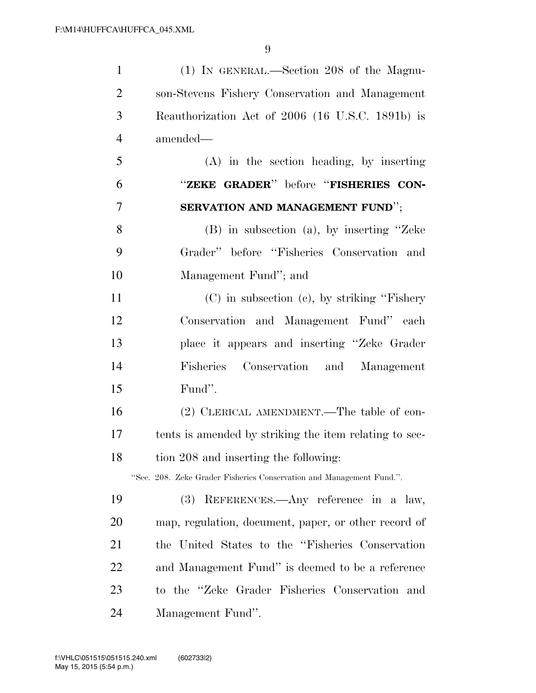| $\mathbf{1}$   | (1) IN GENERAL.—Section 208 of the Magnu-                            |
|----------------|----------------------------------------------------------------------|
| $\overline{2}$ | son-Stevens Fishery Conservation and Management                      |
| 3              | Reauthorization Act of 2006 (16 U.S.C. 1891b) is                     |
| $\overline{4}$ | amended—                                                             |
| 5              | $(A)$ in the section heading, by inserting                           |
| 6              | "ZEKE GRADER" before "FISHERIES CON-                                 |
| 7              | SERVATION AND MANAGEMENT FUND";                                      |
| 8              | $(B)$ in subsection $(a)$ , by inserting "Zeke                       |
| 9              | Grader" before "Fisheries Conservation and                           |
| 10             | Management Fund"; and                                                |
| 11             | $(C)$ in subsection $(c)$ , by striking "Fishery"                    |
| 12             | Conservation and Management Fund" each                               |
| 13             | place it appears and inserting "Zeke Grader"                         |
| 14             | Fisheries Conservation and Management                                |
| 15             | Fund".                                                               |
| 16             | (2) CLERICAL AMENDMENT.—The table of con-                            |
| 17             | tents is amended by striking the item relating to sec-               |
| 18             | tion 208 and inserting the following:                                |
|                | "Sec. 208. Zeke Grader Fisheries Conservation and Management Fund.". |
| 19             | (3) REFERENCES.—Any reference in a law,                              |
| 20             | map, regulation, document, paper, or other record of                 |
| 21             | the United States to the "Fisheries Conservation"                    |
| 22             | and Management Fund" is deemed to be a reference                     |
| 23             | to the "Zeke Grader Fisheries Conservation and                       |
| 24             | Management Fund".                                                    |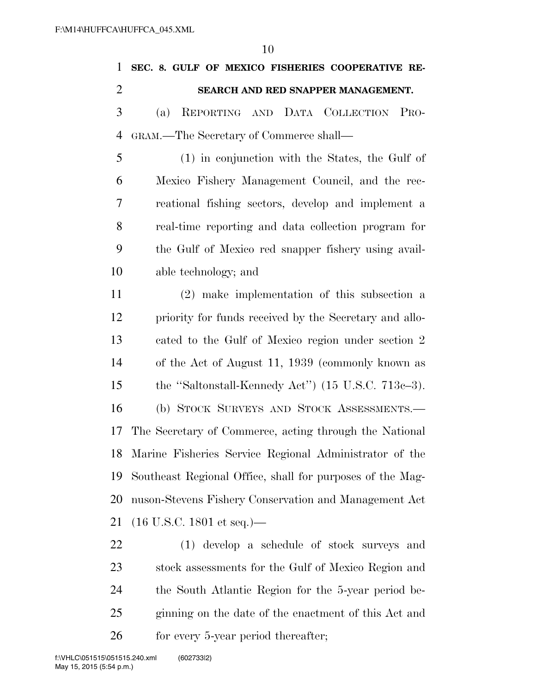| 1              | SEC. 8. GULF OF MEXICO FISHERIES COOPERATIVE RE-               |
|----------------|----------------------------------------------------------------|
| $\overline{2}$ | SEARCH AND RED SNAPPER MANAGEMENT.                             |
| 3              | REPORTING AND DATA COLLECTION<br>(a)<br>P <sub>RO</sub> -      |
| 4              | GRAM.—The Secretary of Commerce shall—                         |
| 5              | (1) in conjunction with the States, the Gulf of                |
| 6              | Mexico Fishery Management Council, and the rec-                |
| 7              | reational fishing sectors, develop and implement a             |
| 8              | real-time reporting and data collection program for            |
| 9              | the Gulf of Mexico red snapper fishery using avail-            |
| 10             | able technology; and                                           |
| 11             | (2) make implementation of this subsection a                   |
| 12             | priority for funds received by the Secretary and allo-         |
| 13             | cated to the Gulf of Mexico region under section 2             |
| 14             | of the Act of August 11, 1939 (commonly known as               |
| 15             | the "Saltonstall-Kennedy Act") $(15 \text{ U.S.C. } 713c-3)$ . |
| 16             | (b) STOCK SURVEYS AND STOCK ASSESSMENTS.                       |
| 17             | The Secretary of Commerce, acting through the National         |
| 18             | Marine Fisheries Service Regional Administrator of the         |
| 19             | Southeast Regional Office, shall for purposes of the Mag-      |
| 20             | nuson-Stevens Fishery Conservation and Management Act          |
| 21             | $(16 \text{ U.S.C. } 1801 \text{ et seq.})$ —                  |
| 22             | (1) develop a schedule of stock surveys and                    |
| 23             | stock assessments for the Gulf of Mexico Region and            |
| 24             | the South Atlantic Region for the 5-year period be-            |

26 for every 5-year period thereafter;

ginning on the date of the enactment of this Act and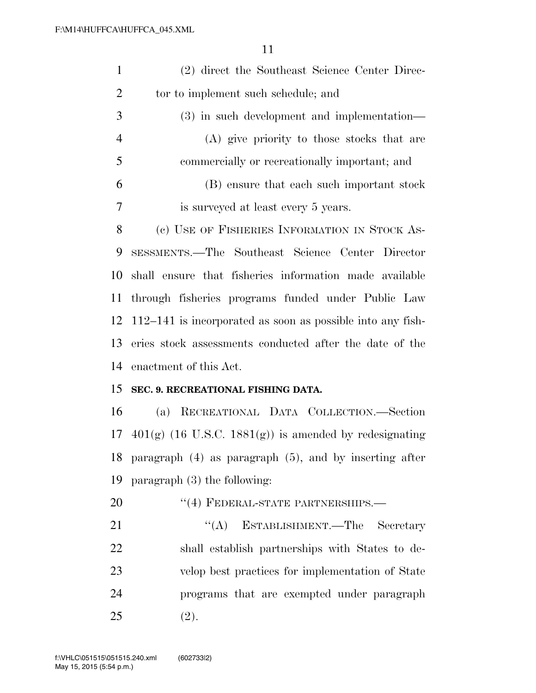| $\mathbf{1}$   | (2) direct the Southeast Science Center Direc-               |
|----------------|--------------------------------------------------------------|
| $\overline{2}$ | tor to implement such schedule; and                          |
| 3              | $(3)$ in such development and implementation—                |
| $\overline{4}$ | (A) give priority to those stocks that are                   |
| 5              | commercially or recreationally important; and                |
| 6              | (B) ensure that each such important stock                    |
| 7              | is surveyed at least every 5 years.                          |
| 8              | (c) USE OF FISHERIES INFORMATION IN STOCK AS-                |
| 9              | SESSMENTS.—The Southeast Science Center Director             |
| 10             | shall ensure that fisheries information made available       |
| 11             | through fisheries programs funded under Public Law           |
| 12             | $112-141$ is incorporated as soon as possible into any fish- |
| 13             | eries stock assessments conducted after the date of the      |
| 14             | enactment of this Act.                                       |
| 15             | SEC. 9. RECREATIONAL FISHING DATA.                           |
| 16             | (a) RECREATIONAL DATA COLLECTION.—Section                    |
| 17             | $401(g)$ (16 U.S.C. 1881(g)) is amended by redesignating     |
| 18             | paragraph $(4)$ as paragraph $(5)$ , and by inserting after  |
| 19             | paragraph $(3)$ the following:                               |
| 20             | "(4) FEDERAL-STATE PARTNERSHIPS.-                            |
| 21             | ``(A)<br>ESTABLISHMENT.—The Secretary                        |
| 22             | shall establish partnerships with States to de-              |
| 23             | velop best practices for implementation of State             |
| 24             | programs that are exempted under paragraph                   |
| 25             | (2).                                                         |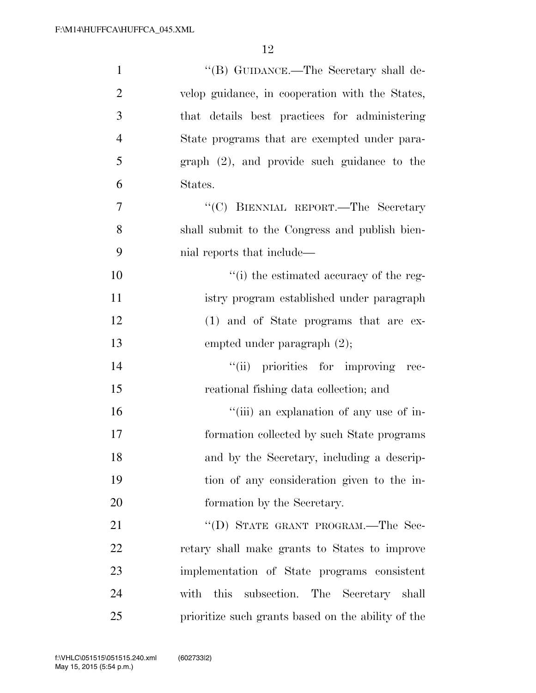| $\mathbf{1}$   | "(B) GUIDANCE.—The Secretary shall de-             |
|----------------|----------------------------------------------------|
| $\overline{2}$ | velop guidance, in cooperation with the States,    |
| 3              | that details best practices for administering      |
| $\overline{4}$ | State programs that are exempted under para-       |
| 5              | $graph (2)$ , and provide such guidance to the     |
| 6              | States.                                            |
| 7              | "(C) BIENNIAL REPORT.—The Secretary                |
| 8              | shall submit to the Congress and publish bien-     |
| 9              | mial reports that include—                         |
| 10             | "(i) the estimated accuracy of the reg-            |
| 11             | istry program established under paragraph          |
| 12             | (1) and of State programs that are ex-             |
| 13             | empted under paragraph $(2)$ ;                     |
| 14             | "(ii) priorities for improving rec-                |
| 15             | reational fishing data collection; and             |
| 16             | "(iii) an explanation of any use of in-            |
| 17             | formation collected by such State programs         |
| 18             | and by the Secretary, including a descrip-         |
| 19             | tion of any consideration given to the in-         |
| 20             | formation by the Secretary.                        |
| 21             | "(D) STATE GRANT PROGRAM.—The Sec-                 |
| 22             | retary shall make grants to States to improve      |
| 23             | implementation of State programs consistent        |
| 24             | subsection. The Secretary shall<br>this<br>with    |
| 25             | prioritize such grants based on the ability of the |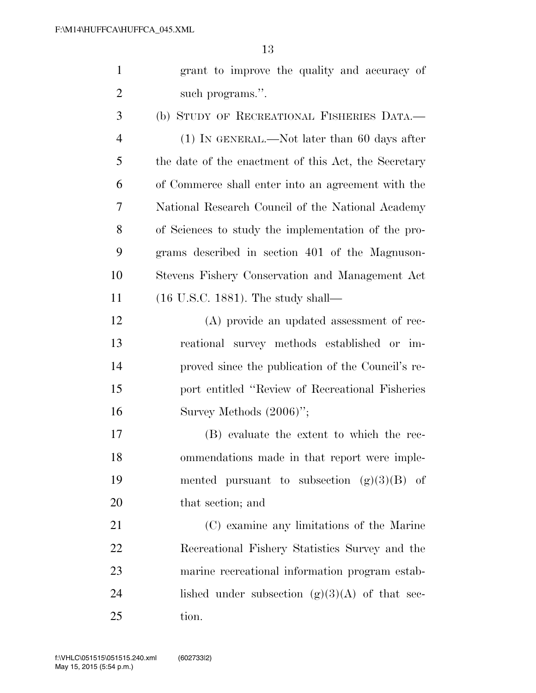|   | grant to improve the quality and accuracy of |
|---|----------------------------------------------|
| 2 | such programs.".                             |

 (b) STUDY OF RECREATIONAL FISHERIES DATA.— (1) IN GENERAL.—Not later than 60 days after the date of the enactment of this Act, the Secretary of Commerce shall enter into an agreement with the National Research Council of the National Academy of Sciences to study the implementation of the pro- grams described in section 401 of the Magnuson- Stevens Fishery Conservation and Management Act (16 U.S.C. 1881). The study shall—

 (A) provide an updated assessment of rec- reational survey methods established or im- proved since the publication of the Council's re- port entitled ''Review of Recreational Fisheries Survey Methods (2006)'';

 (B) evaluate the extent to which the rec- ommendations made in that report were imple-19 mented pursuant to subsection  $(g)(3)(B)$  of that section; and

 (C) examine any limitations of the Marine Recreational Fishery Statistics Survey and the marine recreational information program estab-24 lished under subsection  $(g)(3)(A)$  of that sec-tion.